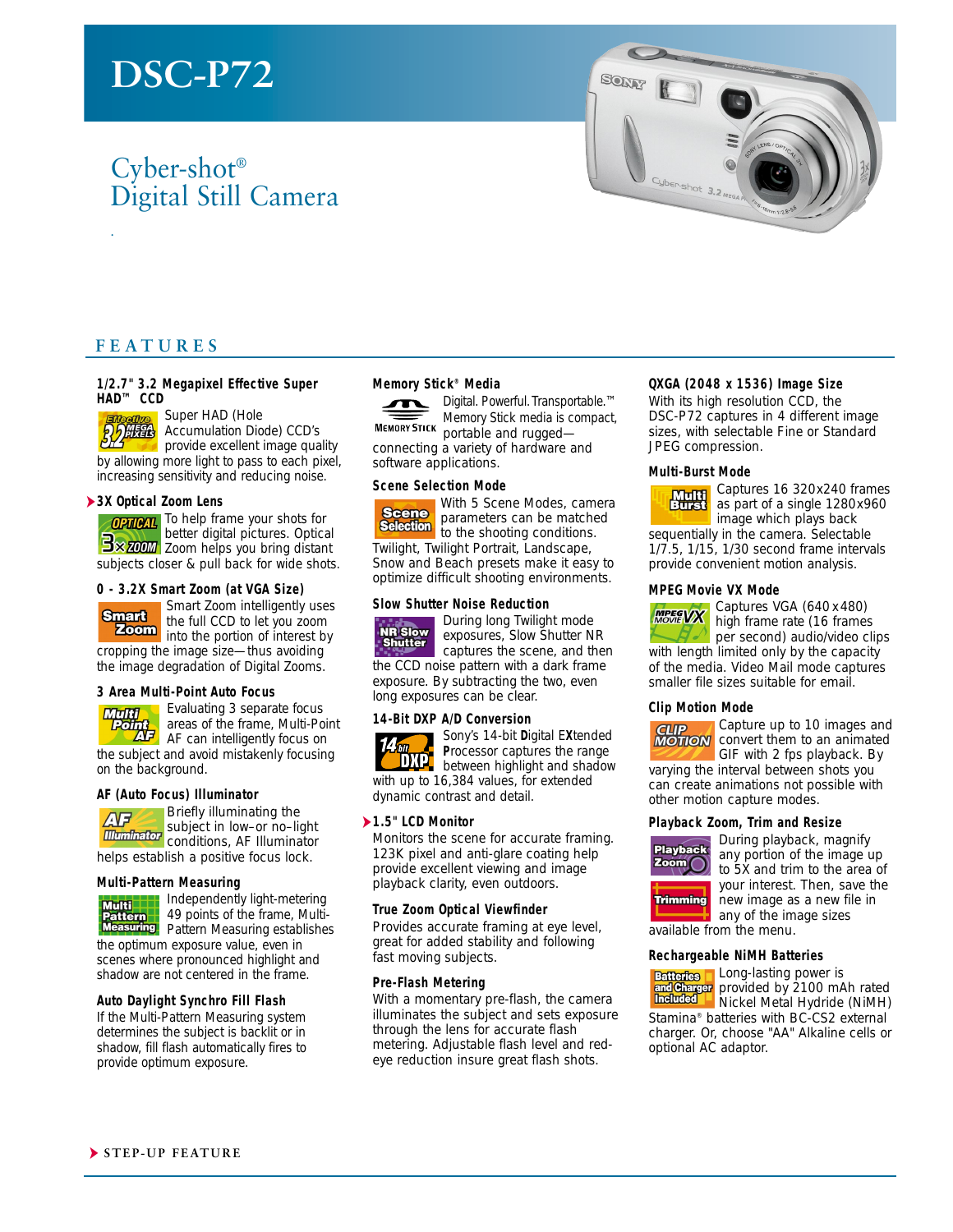# **DSC-P72**

## Cyber-shot® Digital Still Camera



## **FEATURES**

#### **1/2.7" 3.2 Megapixel Effective Super HAD™ CCD**

Super HAD (Hole

.

Accumulation Diode) CCD's

provide excellent image quality by allowing more light to pass to each pixel, increasing sensitivity and reducing noise.

#### ➤**3X Optical Zoom Lens**

**OPTION** To help frame your shots for better digital pictures. Optical **Bx ZOOM** Zoom helps you bring distant subjects closer & pull back for wide shots.

#### **0 - 3.2X Smart Zoom (at VGA Size)**

**Smart** 

Smart Zoom intelligently uses the full CCD to let you zoom

**Zoom** into the portion of interest by cropping the image size—thus avoiding the image degradation of Digital Zooms.

#### **3 Area Multi-Point Auto Focus**

**Multi** Point<br>AF

Evaluating 3 separate focus areas of the frame, Multi-Point AF can intelligently focus on

the subject and avoid mistakenly focusing on the background.

#### **AF (Auto Focus) Illuminator**



Briefly illuminating the subject in low–or no–light **Illuminator** conditions, AF Illuminator

helps establish a positive focus lock.

#### **Multi-Pattern Measuring**



Independently light-metering<br>49 points of the frame, Multi-49 points of the frame, Multi-Pattern Measuring establishes the optimum exposure value, even in

scenes where pronounced highlight and shadow are not centered in the frame.

#### **Auto Daylight Synchro Fill Flash**

If the Multi-Pattern Measuring system determines the subject is backlit or in shadow, fill flash automatically fires to provide optimum exposure.

#### **Memory Stick® Media**



Digital. Powerful. Transportable.™ Memory Stick media is compact, MEMORY STICK portable and rugged—

connecting a variety of hardware and software applications.

#### **Scene Selection Mode**



With 5 Scene Modes, camera parameters can be matched Selection parameters can accorditions. Twilight, Twilight Portrait, Landscape,

Snow and Beach presets make it easy to optimize difficult shooting environments.

#### **Slow Shutter Noise Reduction**



During long Twilight mode exposures, Slow Shutter NR

captures the scene, and then the CCD noise pattern with a dark frame exposure. By subtracting the two, even long exposures can be clear.

#### **14-Bit DXP A/D Conversion**



with up to 16,384 values, for extended dynamic contrast and detail.

#### ➤**1.5" LCD Monitor**

Monitors the scene for accurate framing. 123K pixel and anti-glare coating help provide excellent viewing and image playback clarity, even outdoors.

#### **True Zoom Optical Viewfinder**

Provides accurate framing at eye level, great for added stability and following fast moving subjects.

#### **Pre-Flash Metering**

With a momentary pre-flash, the camera illuminates the subject and sets exposure through the lens for accurate flash metering. Adjustable flash level and redeye reduction insure great flash shots.

#### **QXGA (2048 x 1536) Image Size**

With its high resolution CCD, the DSC-P72 captures in 4 different image sizes, with selectable Fine or Standard JPEG compression.

#### **Multi-Burst Mode**



Captures 16 320x240 frames as part of a single 1280x960 image which plays back sequentially in the camera. Selectable 1/7.5, 1/15, 1/30 second frame intervals provide convenient motion analysis.

#### **MPEG Movie VX Mode**

**MPEGVX** 

Captures VGA (640 x 480) high frame rate (16 frames per second) audio/video clips

with length limited only by the capacity of the media. Video Mail mode captures smaller file sizes suitable for email.

#### **Clip Motion Mode**



Capture up to 10 images and convert them to an animated GIF with 2 fps playback. By

varying the interval between shots you can create animations not possible with other motion capture modes.

#### **Playback Zoom, Trim and Resize**



During playback, magnify any portion of the image up to 5X and trim to the area of your interest. Then, save the new image as a new file in any of the image sizes

available from the menu.

#### **Rechargeable NiMH Batteries**

**Batteries Long-lasting power is** provided by 2100 mAh rated Nickel Metal Hydride (NiMH) Stamina® batteries with BC-CS2 external

charger. Or, choose "AA" Alkaline cells or optional AC adaptor.



**P**rocessor captures the range between highlight and shadow

Sony's 14-bit **D**igital E**X**tended